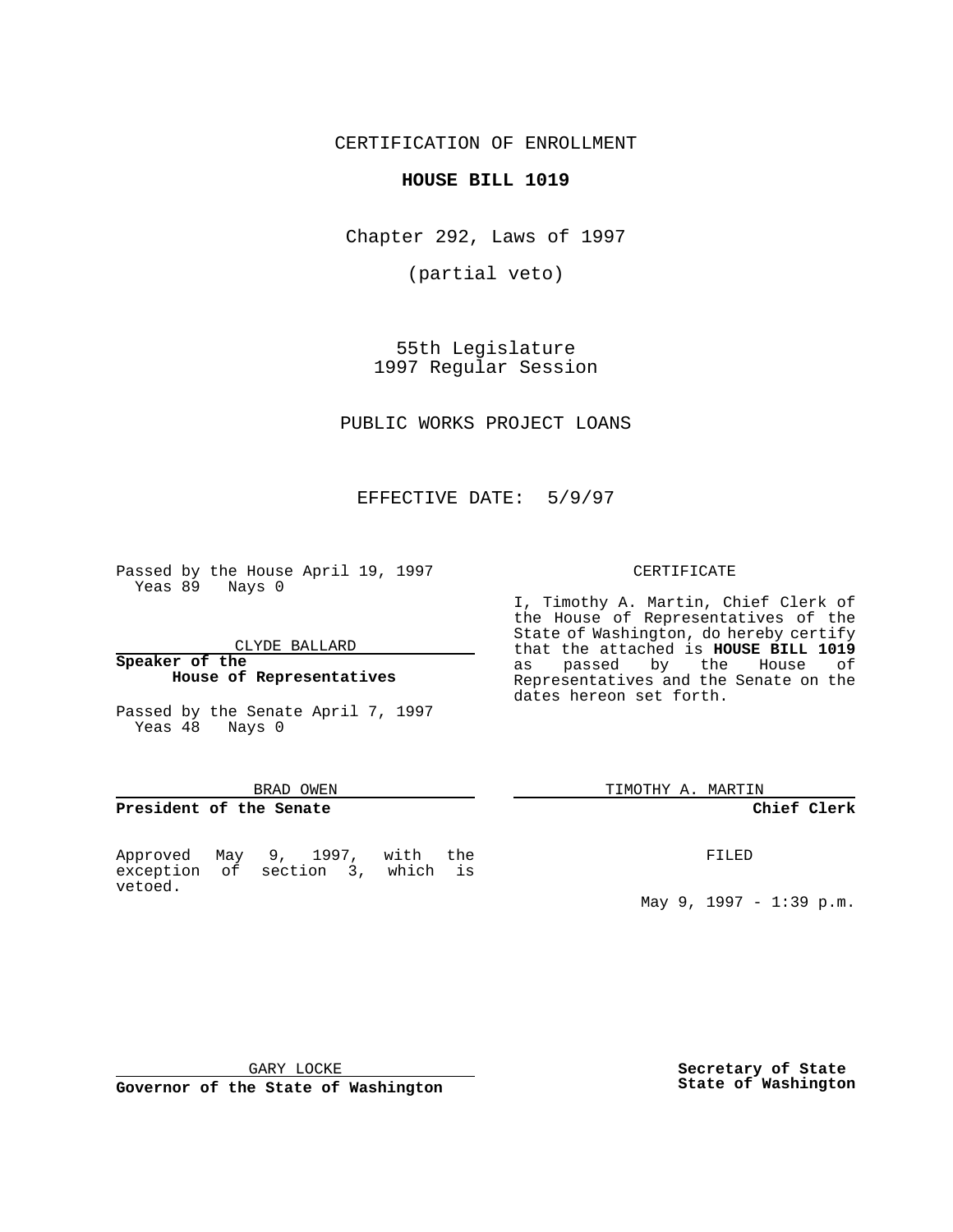CERTIFICATION OF ENROLLMENT

## **HOUSE BILL 1019**

Chapter 292, Laws of 1997

(partial veto)

55th Legislature 1997 Regular Session

PUBLIC WORKS PROJECT LOANS

# EFFECTIVE DATE: 5/9/97

Passed by the House April 19, 1997 Yeas 89 Nays 0

CLYDE BALLARD

#### **Speaker of the House of Representatives**

Passed by the Senate April 7, 1997 Yeas 48 Nays 0

#### BRAD OWEN

### **President of the Senate**

Approved May 9, 1997, with the exception of section 3, which is vetoed.

#### CERTIFICATE

I, Timothy A. Martin, Chief Clerk of the House of Representatives of the State of Washington, do hereby certify that the attached is **HOUSE BILL 1019** as passed by the House of Representatives and the Senate on the dates hereon set forth.

TIMOTHY A. MARTIN

#### **Chief Clerk**

FILED

May 9, 1997 - 1:39 p.m.

GARY LOCKE

**Governor of the State of Washington**

**Secretary of State State of Washington**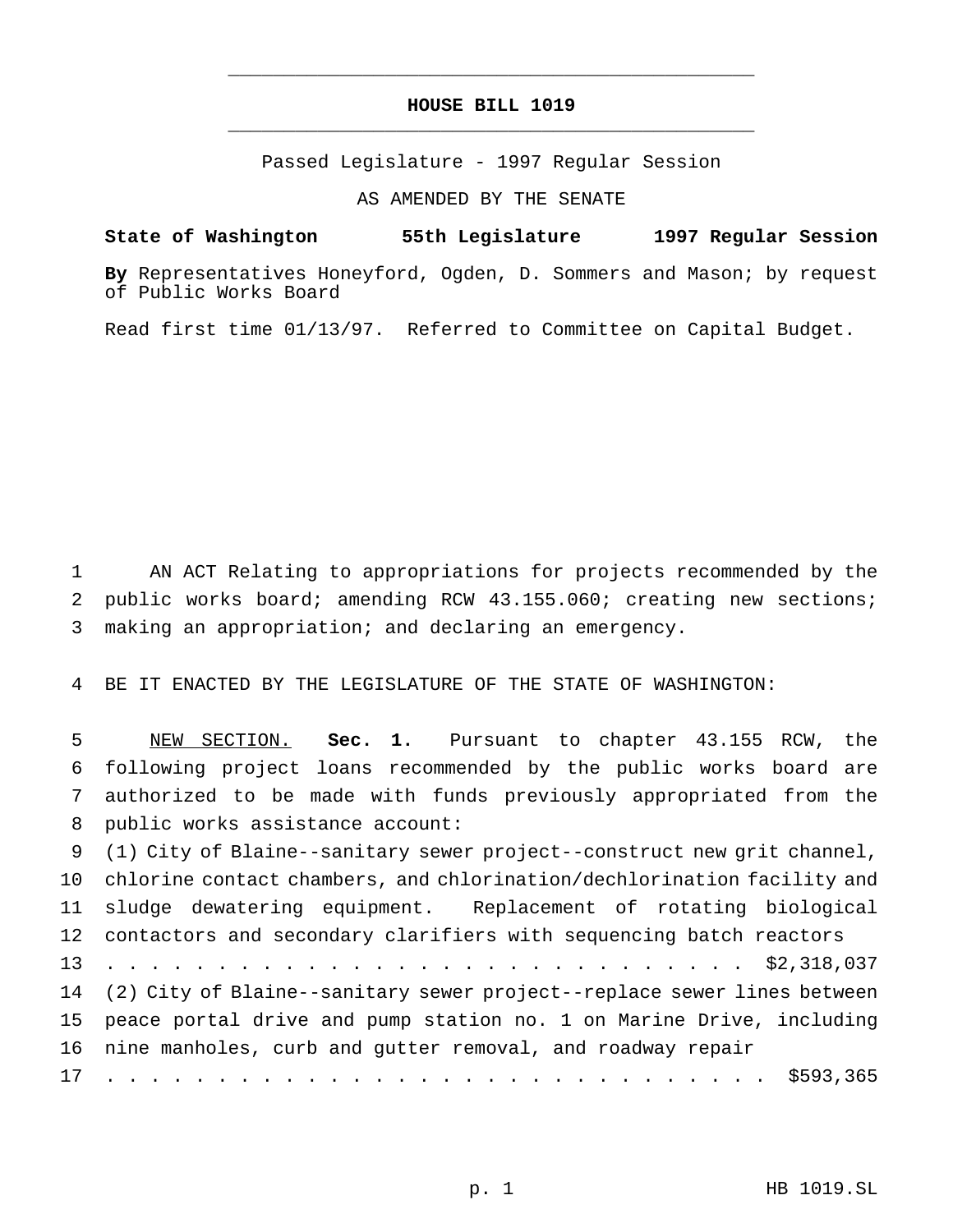## **HOUSE BILL 1019** \_\_\_\_\_\_\_\_\_\_\_\_\_\_\_\_\_\_\_\_\_\_\_\_\_\_\_\_\_\_\_\_\_\_\_\_\_\_\_\_\_\_\_\_\_\_\_

\_\_\_\_\_\_\_\_\_\_\_\_\_\_\_\_\_\_\_\_\_\_\_\_\_\_\_\_\_\_\_\_\_\_\_\_\_\_\_\_\_\_\_\_\_\_\_

Passed Legislature - 1997 Regular Session

AS AMENDED BY THE SENATE

**State of Washington 55th Legislature 1997 Regular Session**

**By** Representatives Honeyford, Ogden, D. Sommers and Mason; by request of Public Works Board

Read first time 01/13/97. Referred to Committee on Capital Budget.

 AN ACT Relating to appropriations for projects recommended by the public works board; amending RCW 43.155.060; creating new sections; making an appropriation; and declaring an emergency.

BE IT ENACTED BY THE LEGISLATURE OF THE STATE OF WASHINGTON:

 NEW SECTION. **Sec. 1.** Pursuant to chapter 43.155 RCW, the following project loans recommended by the public works board are authorized to be made with funds previously appropriated from the public works assistance account:

 (1) City of Blaine--sanitary sewer project--construct new grit channel, chlorine contact chambers, and chlorination/dechlorination facility and sludge dewatering equipment. Replacement of rotating biological contactors and secondary clarifiers with sequencing batch reactors ............................. \$2,318,037 (2) City of Blaine--sanitary sewer project--replace sewer lines between peace portal drive and pump station no. 1 on Marine Drive, including nine manholes, curb and gutter removal, and roadway repair .............................. \$593,365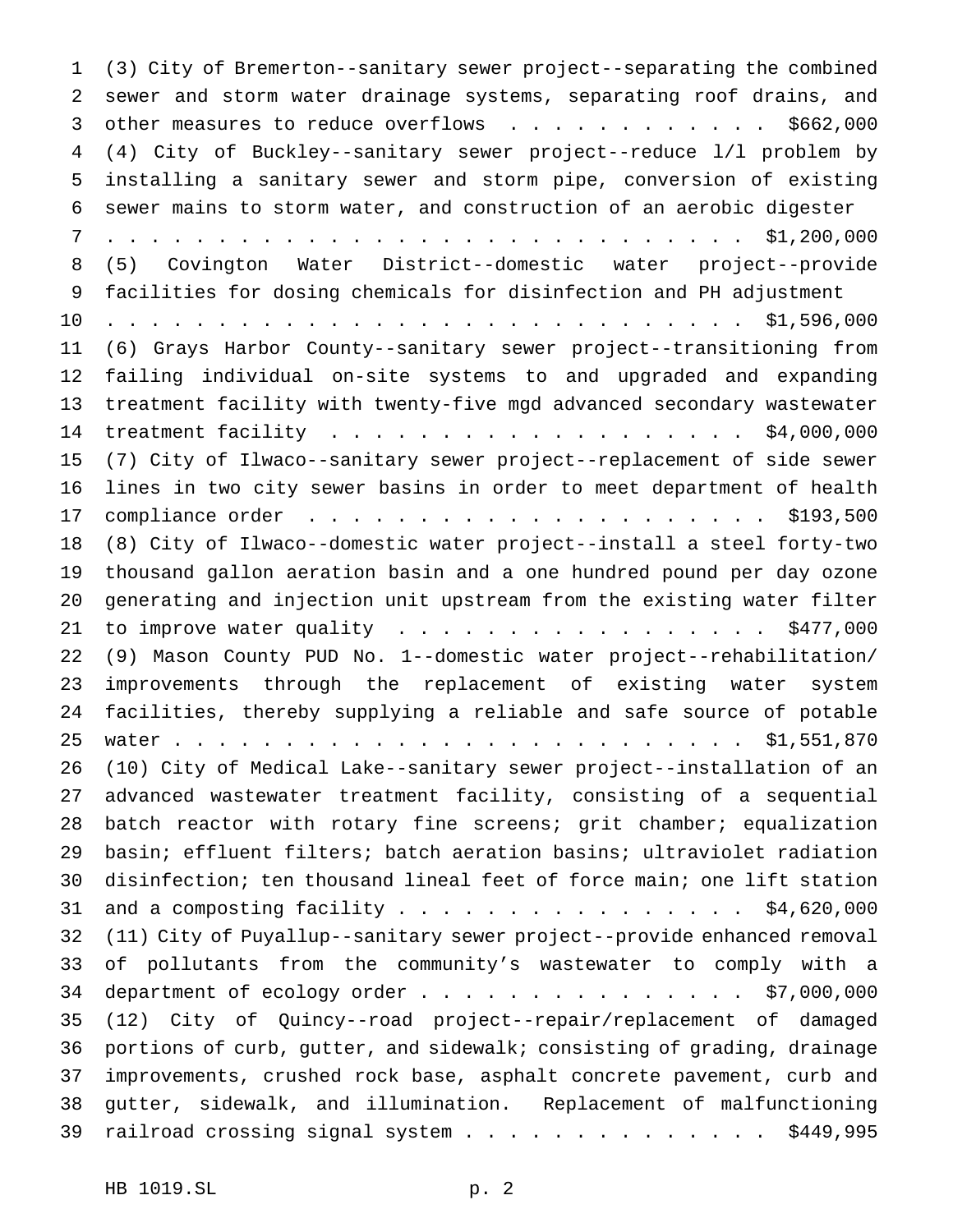(3) City of Bremerton--sanitary sewer project--separating the combined sewer and storm water drainage systems, separating roof drains, and 3 other measures to reduce overflows . . . . . . . . . . . \$662,000 (4) City of Buckley--sanitary sewer project--reduce l/l problem by installing a sanitary sewer and storm pipe, conversion of existing sewer mains to storm water, and construction of an aerobic digester ............................. \$1,200,000 (5) Covington Water District--domestic water project--provide facilities for dosing chemicals for disinfection and PH adjustment ............................. \$1,596,000 (6) Grays Harbor County--sanitary sewer project--transitioning from failing individual on-site systems to and upgraded and expanding treatment facility with twenty-five mgd advanced secondary wastewater 14 treatment facility . . . . . . . . . . . . . . . . . . \$4,000,000 (7) City of Ilwaco--sanitary sewer project--replacement of side sewer lines in two city sewer basins in order to meet department of health compliance order ..................... \$193,500 (8) City of Ilwaco--domestic water project--install a steel forty-two thousand gallon aeration basin and a one hundred pound per day ozone generating and injection unit upstream from the existing water filter 21 to improve water quality . . . . . . . . . . . . . . . . \$477,000 (9) Mason County PUD No. 1--domestic water project--rehabilitation/ improvements through the replacement of existing water system facilities, thereby supplying a reliable and safe source of potable 25 water................................... \$1,551,870 (10) City of Medical Lake--sanitary sewer project--installation of an advanced wastewater treatment facility, consisting of a sequential batch reactor with rotary fine screens; grit chamber; equalization basin; effluent filters; batch aeration basins; ultraviolet radiation disinfection; ten thousand lineal feet of force main; one lift station 31 and a composting facility  $\ldots$ ................... \$4,620,000 (11) City of Puyallup--sanitary sewer project--provide enhanced removal of pollutants from the community's wastewater to comply with a 34 department of ecology order . . . . . . . . . . . . . . . \$7,000,000 (12) City of Quincy--road project--repair/replacement of damaged portions of curb, gutter, and sidewalk; consisting of grading, drainage improvements, crushed rock base, asphalt concrete pavement, curb and gutter, sidewalk, and illumination. Replacement of malfunctioning 39 railroad crossing signal system . . . . . . . . . . . . . . \$449,995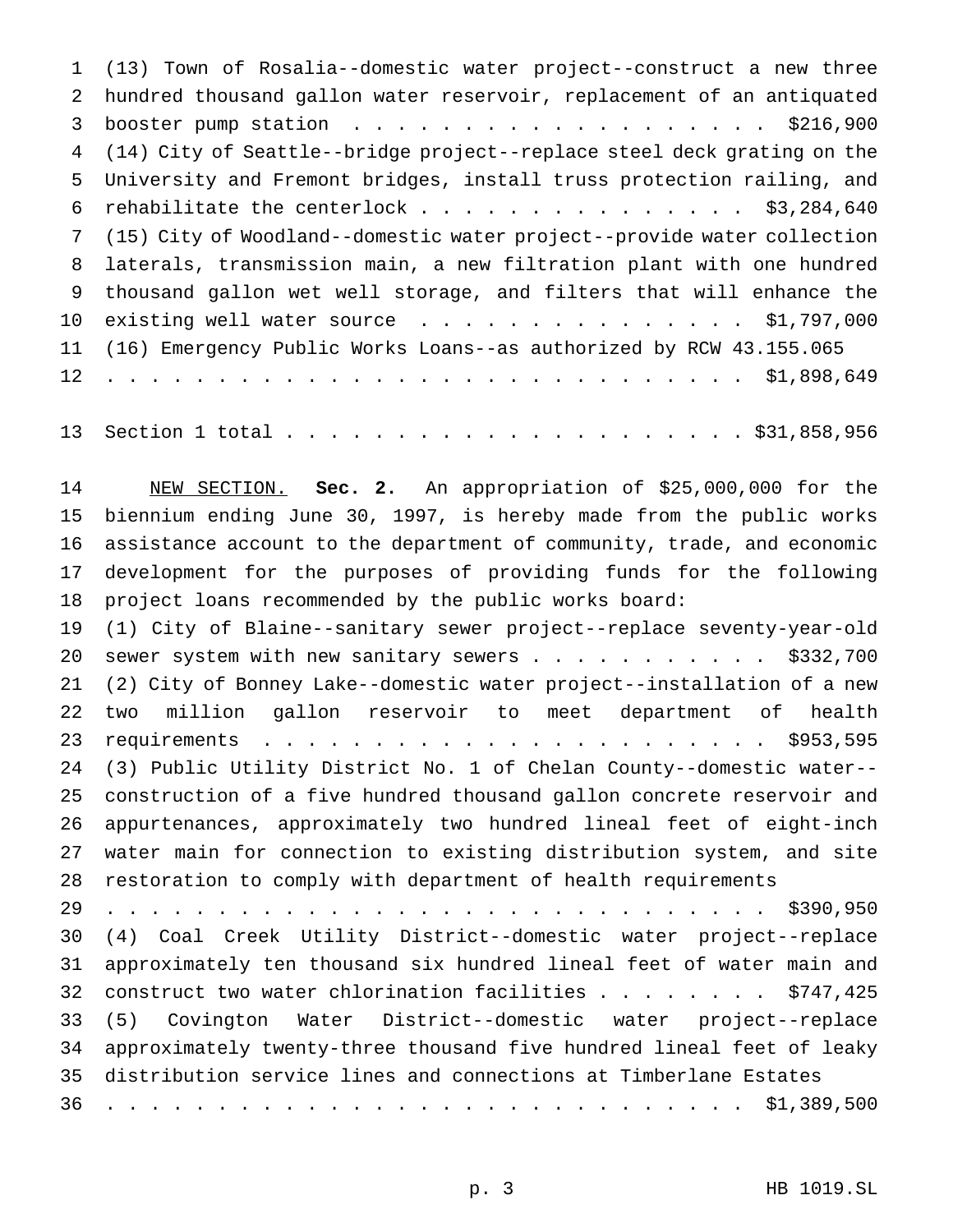(13) Town of Rosalia--domestic water project--construct a new three hundred thousand gallon water reservoir, replacement of an antiquated 3 booster pump station . . . . . . . . . . . . . . . . . . \$216,900 (14) City of Seattle--bridge project--replace steel deck grating on the University and Fremont bridges, install truss protection railing, and 6 rehabilitate the centerlock . . . . . . . . . . . . . . \$3,284,640 (15) City of Woodland--domestic water project--provide water collection laterals, transmission main, a new filtration plant with one hundred thousand gallon wet well storage, and filters that will enhance the 10 existing well water source . . . . . . . . . . . . . . . \$1,797,000 (16) Emergency Public Works Loans--as authorized by RCW 43.155.065 ............................. \$1,898,649

Section 1 total..................... \$31,858,956

 NEW SECTION. **Sec. 2.** An appropriation of \$25,000,000 for the biennium ending June 30, 1997, is hereby made from the public works assistance account to the department of community, trade, and economic development for the purposes of providing funds for the following project loans recommended by the public works board:

 (1) City of Blaine--sanitary sewer project--replace seventy-year-old 20 sewer system with new sanitary sewers . . . . . . . . . . \$332,700 (2) City of Bonney Lake--domestic water project--installation of a new two million gallon reservoir to meet department of health requirements ....................... \$953,595 (3) Public Utility District No. 1 of Chelan County--domestic water-- construction of a five hundred thousand gallon concrete reservoir and appurtenances, approximately two hundred lineal feet of eight-inch water main for connection to existing distribution system, and site restoration to comply with department of health requirements

 .............................. \$390,950 (4) Coal Creek Utility District--domestic water project--replace approximately ten thousand six hundred lineal feet of water main and 32 construct two water chlorination facilities . . . . . . . \$747,425 (5) Covington Water District--domestic water project--replace approximately twenty-three thousand five hundred lineal feet of leaky distribution service lines and connections at Timberlane Estates ............................. \$1,389,500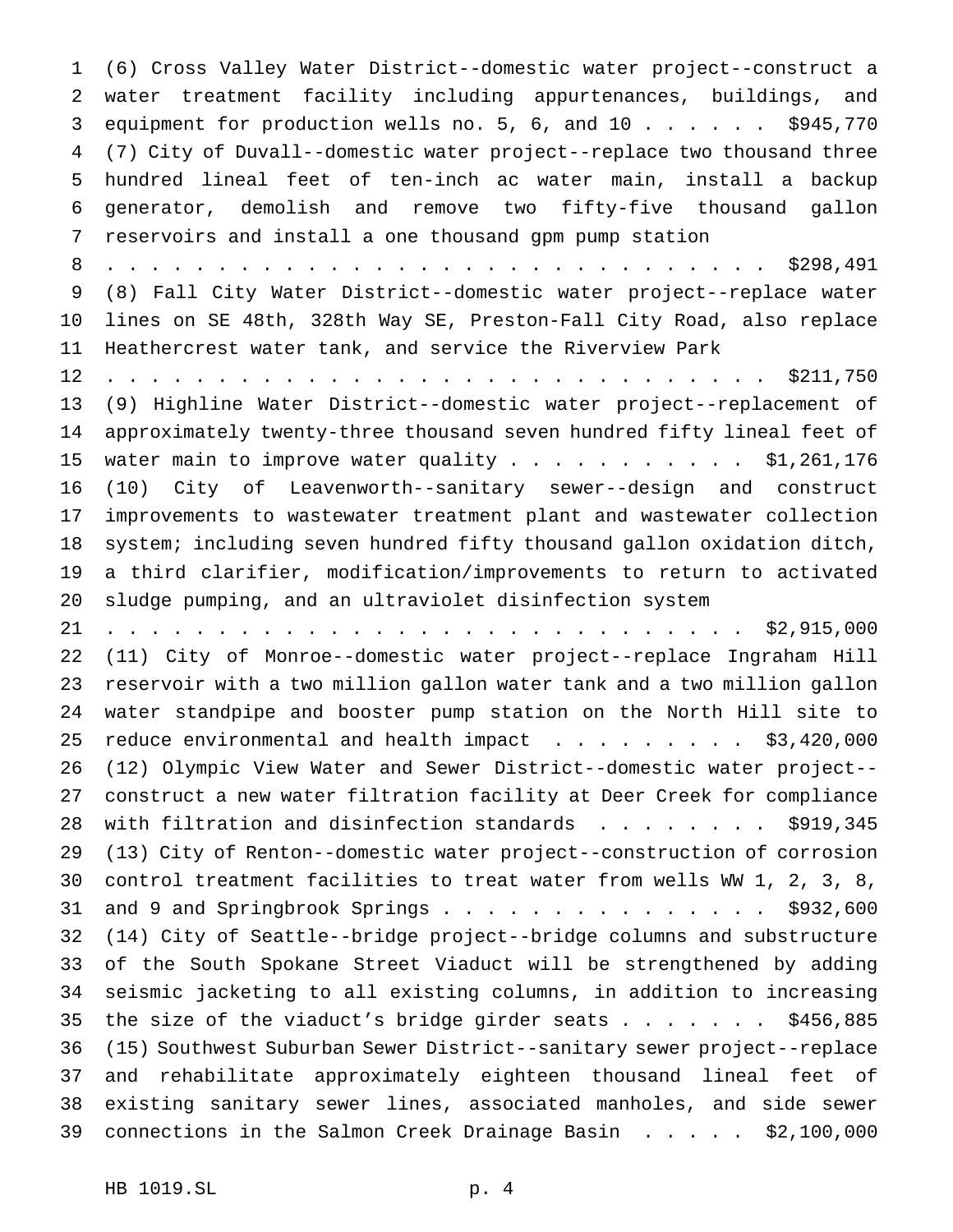(6) Cross Valley Water District--domestic water project--construct a water treatment facility including appurtenances, buildings, and 3 equipment for production wells no. 5, 6, and 10 . . . . . . \$945,770 (7) City of Duvall--domestic water project--replace two thousand three hundred lineal feet of ten-inch ac water main, install a backup generator, demolish and remove two fifty-five thousand gallon reservoirs and install a one thousand gpm pump station .............................. \$298,491 (8) Fall City Water District--domestic water project--replace water lines on SE 48th, 328th Way SE, Preston-Fall City Road, also replace Heathercrest water tank, and service the Riverview Park .............................. \$211,750 (9) Highline Water District--domestic water project--replacement of approximately twenty-three thousand seven hundred fifty lineal feet of 15 water main to improve water quality . . . . . . . . . . \$1,261,176 (10) City of Leavenworth--sanitary sewer--design and construct improvements to wastewater treatment plant and wastewater collection system; including seven hundred fifty thousand gallon oxidation ditch, a third clarifier, modification/improvements to return to activated sludge pumping, and an ultraviolet disinfection system ............................. \$2,915,000 (11) City of Monroe--domestic water project--replace Ingraham Hill reservoir with a two million gallon water tank and a two million gallon water standpipe and booster pump station on the North Hill site to 25 reduce environmental and health impact . . . . . . . . \$3,420,000 (12) Olympic View Water and Sewer District--domestic water project-- construct a new water filtration facility at Deer Creek for compliance 28 with filtration and disinfection standards . . . . . . . . \$919,345 (13) City of Renton--domestic water project--construction of corrosion control treatment facilities to treat water from wells WW 1, 2, 3, 8, 31 and 9 and Springbrook Springs . . . . . . . . . . . . . . . \$932,600 (14) City of Seattle--bridge project--bridge columns and substructure of the South Spokane Street Viaduct will be strengthened by adding seismic jacketing to all existing columns, in addition to increasing the size of the viaduct's bridge girder seats....... \$456,885 (15) Southwest Suburban Sewer District--sanitary sewer project--replace and rehabilitate approximately eighteen thousand lineal feet of existing sanitary sewer lines, associated manholes, and side sewer connections in the Salmon Creek Drainage Basin ..... \$2,100,000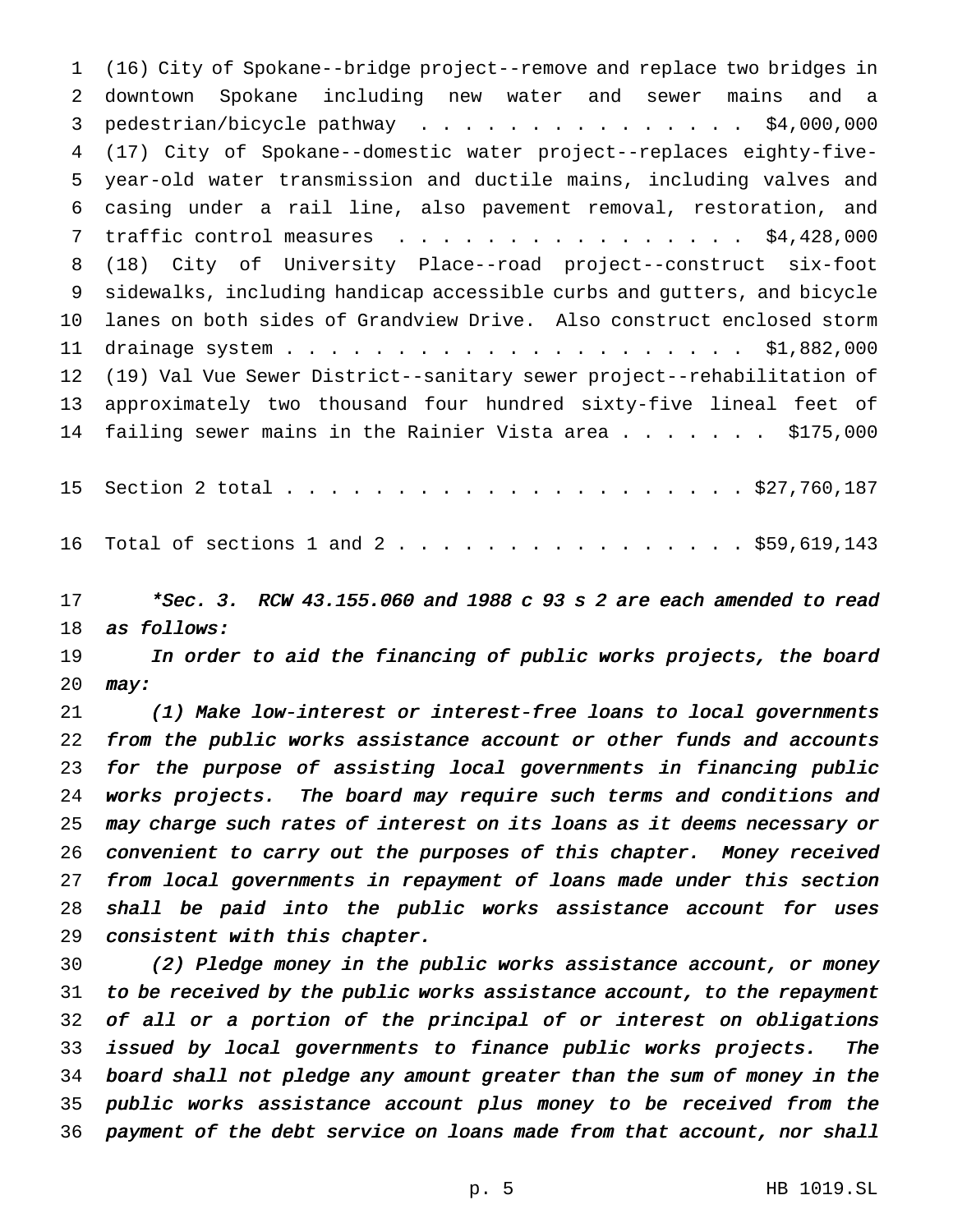(16) City of Spokane--bridge project--remove and replace two bridges in downtown Spokane including new water and sewer mains and a 3 pedestrian/bicycle pathway . . . . . . . . . . . . . . \$4,000,000 (17) City of Spokane--domestic water project--replaces eighty-five- year-old water transmission and ductile mains, including valves and casing under a rail line, also pavement removal, restoration, and 7 traffic control measures . . . . . . . . . . . . . . . \$4,428,000 (18) City of University Place--road project--construct six-foot sidewalks, including handicap accessible curbs and gutters, and bicycle lanes on both sides of Grandview Drive. Also construct enclosed storm drainage system..................... \$1,882,000 (19) Val Vue Sewer District--sanitary sewer project--rehabilitation of approximately two thousand four hundred sixty-five lineal feet of 14 failing sewer mains in the Rainier Vista area........ \$175,000 Section 2 total..................... \$27,760,187 16 Total of sections 1 and 2 . . . . . . . . . . . . . . . . \$59,619,143

 \*Sec. 3. RCW 43.155.060 and <sup>1988</sup> <sup>c</sup> <sup>93</sup> <sup>s</sup> <sup>2</sup> are each amended to read as follows:

 In order to aid the financing of public works projects, the board  $may:$ 

 (1) Make low-interest or interest-free loans to local governments from the public works assistance account or other funds and accounts for the purpose of assisting local governments in financing public works projects. The board may require such terms and conditions and may charge such rates of interest on its loans as it deems necessary or convenient to carry out the purposes of this chapter. Money received from local governments in repayment of loans made under this section shall be paid into the public works assistance account for uses consistent with this chapter.

 (2) Pledge money in the public works assistance account, or money to be received by the public works assistance account, to the repayment of all or <sup>a</sup> portion of the principal of or interest on obligations issued by local governments to finance public works projects. The board shall not pledge any amount greater than the sum of money in the public works assistance account plus money to be received from the payment of the debt service on loans made from that account, nor shall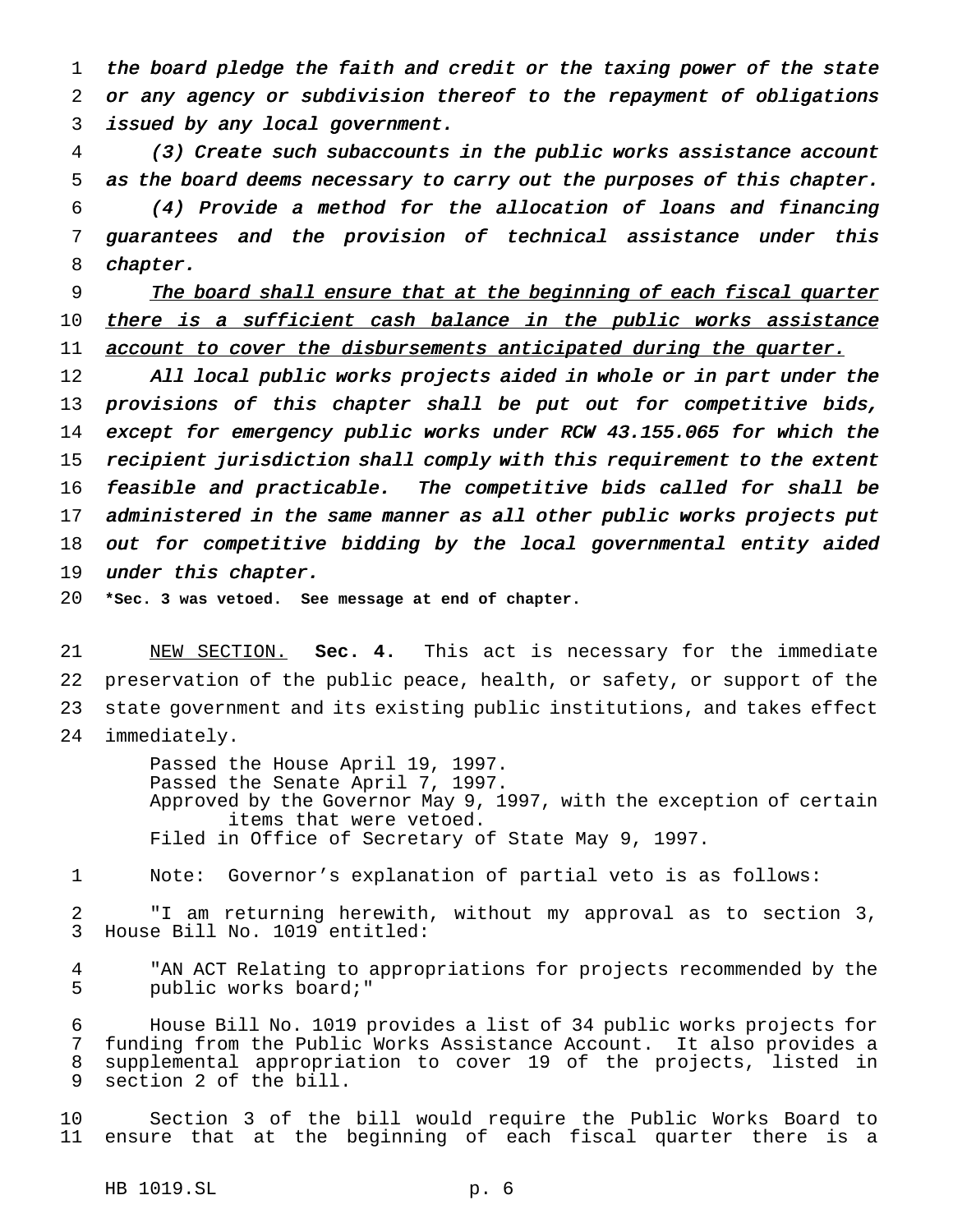the board pledge the faith and credit or the taxing power of the state or any agency or subdivision thereof to the repayment of obligations issued by any local government.

 (3) Create such subaccounts in the public works assistance account as the board deems necessary to carry out the purposes of this chapter.

 (4) Provide <sup>a</sup> method for the allocation of loans and financing guarantees and the provision of technical assistance under this chapter.

 The board shall ensure that at the beginning of each fiscal quarter 10 there is a sufficient cash balance in the public works assistance 11 account to cover the disbursements anticipated during the quarter.

12 All local public works projects aided in whole or in part under the 13 provisions of this chapter shall be put out for competitive bids, except for emergency public works under RCW 43.155.065 for which the recipient jurisdiction shall comply with this requirement to the extent feasible and practicable. The competitive bids called for shall be administered in the same manner as all other public works projects put out for competitive bidding by the local governmental entity aided 19 under this chapter.

**\*Sec. 3 was vetoed. See message at end of chapter.**

 NEW SECTION. **Sec. 4.** This act is necessary for the immediate preservation of the public peace, health, or safety, or support of the state government and its existing public institutions, and takes effect immediately.

> Passed the House April 19, 1997. Passed the Senate April 7, 1997. Approved by the Governor May 9, 1997, with the exception of certain items that were vetoed. Filed in Office of Secretary of State May 9, 1997.

Note: Governor's explanation of partial veto is as follows:

 "I am returning herewith, without my approval as to section 3, House Bill No. 1019 entitled:

 "AN ACT Relating to appropriations for projects recommended by the public works board;"

 House Bill No. 1019 provides a list of 34 public works projects for funding from the Public Works Assistance Account. It also provides a supplemental appropriation to cover 19 of the projects, listed in section 2 of the bill.

 Section 3 of the bill would require the Public Works Board to ensure that at the beginning of each fiscal quarter there is a